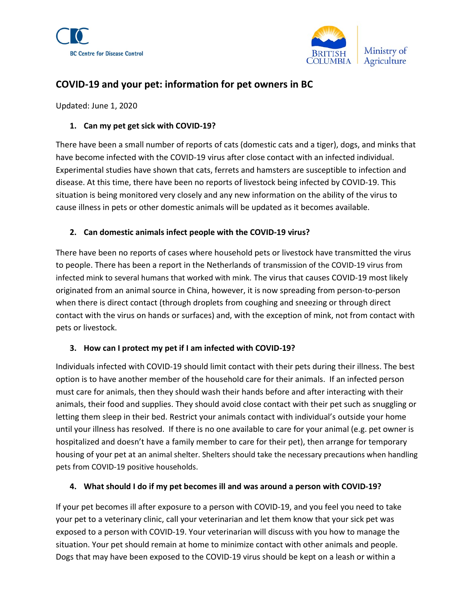



# COVID-19 and your pet: information for pet owners in BC

Updated: June 1, 2020

#### 1. Can my pet get sick with COVID-19?

There have been a small number of reports of cats (domestic cats and a tiger), dogs, and minks that have become infected with the COVID-19 virus after close contact with an infected individual. Experimental studies have shown that cats, ferrets and hamsters are susceptible to infection and disease. At this time, there have been no reports of livestock being infected by COVID-19. This situation is being monitored very closely and any new information on the ability of the virus to cause illness in pets or other domestic animals will be updated as it becomes available.

#### 2. Can domestic animals infect people with the COVID-19 virus?

There have been no reports of cases where household pets or livestock have transmitted the virus to people. There has been a report in the Netherlands of transmission of the COVID-19 virus from infected mink to several humans that worked with mink. The virus that causes COVID-19 most likely originated from an animal source in China, however, it is now spreading from person-to-person when there is direct contact (through droplets from coughing and sneezing or through direct contact with the virus on hands or surfaces) and, with the exception of mink, not from contact with pets or livestock.

#### 3. How can I protect my pet if I am infected with COVID-19?

Individuals infected with COVID-19 should limit contact with their pets during their illness. The best option is to have another member of the household care for their animals. If an infected person must care for animals, then they should wash their hands before and after interacting with their animals, their food and supplies. They should avoid close contact with their pet such as snuggling or letting them sleep in their bed. Restrict your animals contact with individual's outside your home until your illness has resolved. If there is no one available to care for your animal (e.g. pet owner is hospitalized and doesn't have a family member to care for their pet), then arrange for temporary housing of your pet at an animal shelter. Shelters should take the necessary precautions when handling pets from COVID-19 positive households.

#### 4. What should I do if my pet becomes ill and was around a person with COVID-19?

If your pet becomes ill after exposure to a person with COVID-19, and you feel you need to take your pet to a veterinary clinic, call your veterinarian and let them know that your sick pet was exposed to a person with COVID-19. Your veterinarian will discuss with you how to manage the situation. Your pet should remain at home to minimize contact with other animals and people. Dogs that may have been exposed to the COVID-19 virus should be kept on a leash or within a